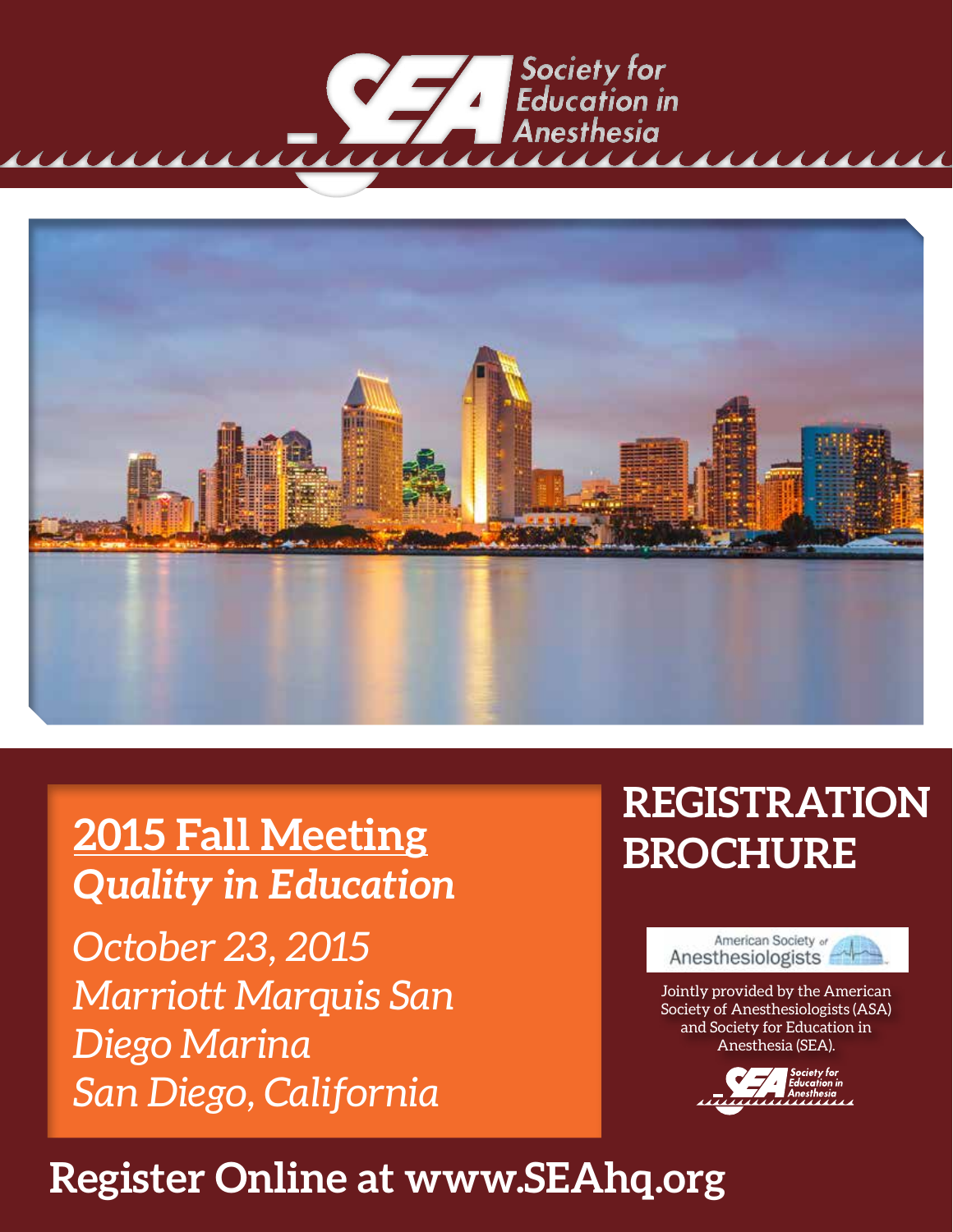



**2015 Fall Meeting** *Quality in Education October 23, 2015 Marriott Marquis San Diego Marina San Diego, California*

# **REGISTRATION BROCHURE**



Jointly provided by the American Society of Anesthesiologists (ASA) and Society for Education in Anesthesia (SEA).



# **Register Online at www.SEAhq.org**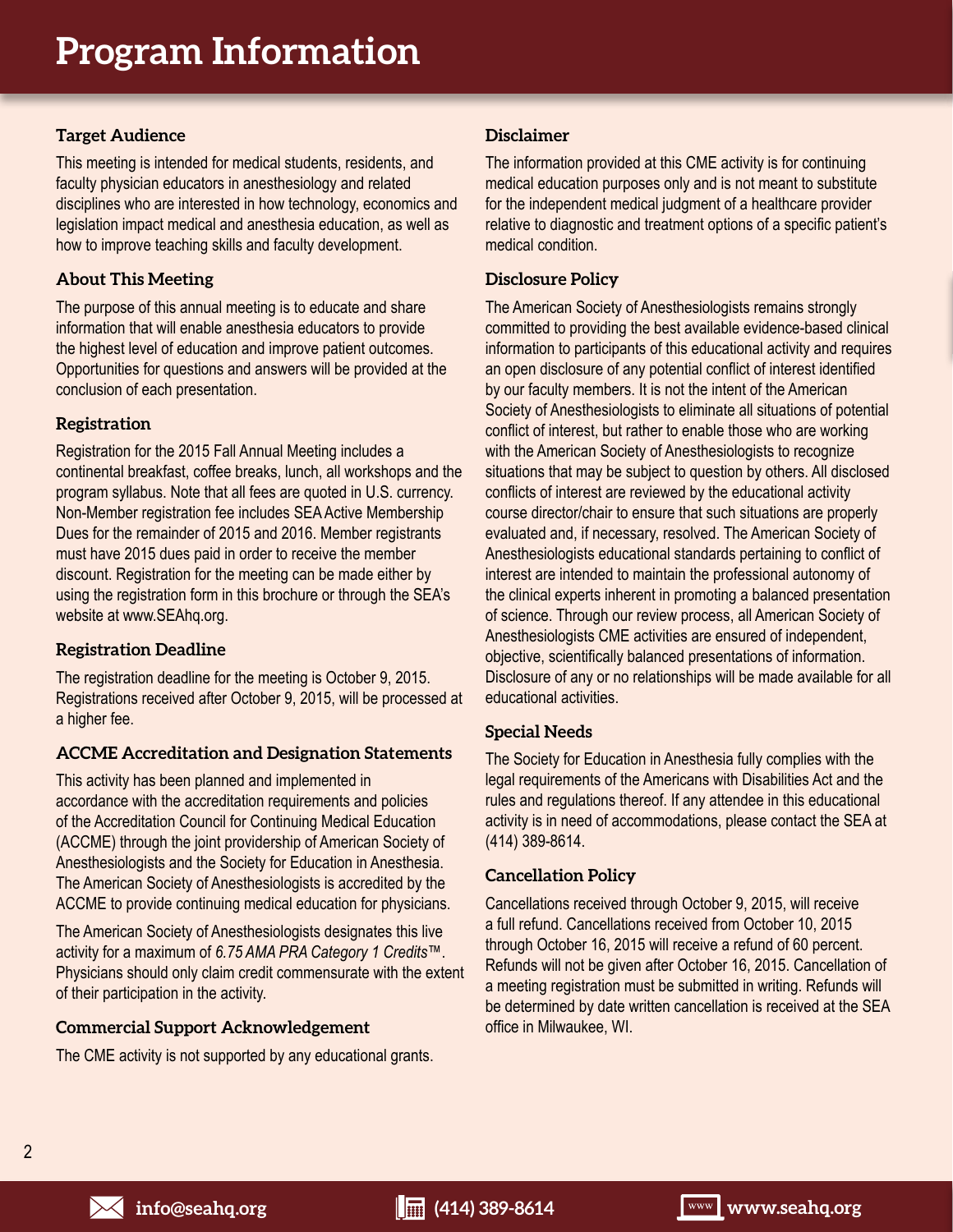# **Target Audience**

This meeting is intended for medical students, residents, and faculty physician educators in anesthesiology and related disciplines who are interested in how technology, economics and legislation impact medical and anesthesia education, as well as how to improve teaching skills and faculty development.

# **About This Meeting**

The purpose of this annual meeting is to educate and share information that will enable anesthesia educators to provide the highest level of education and improve patient outcomes. Opportunities for questions and answers will be provided at the conclusion of each presentation.

### **Registration**

Registration for the 2015 Fall Annual Meeting includes a continental breakfast, coffee breaks, lunch, all workshops and the program syllabus. Note that all fees are quoted in U.S. currency. Non-Member registration fee includes SEA Active Membership Dues for the remainder of 2015 and 2016. Member registrants must have 2015 dues paid in order to receive the member discount. Registration for the meeting can be made either by using the registration form in this brochure or through the SEA's website at www.SEAhq.org.

## **Registration Deadline**

The registration deadline for the meeting is October 9, 2015. Registrations received after October 9, 2015, will be processed at a higher fee.

# **ACCME Accreditation and Designation Statements**

This activity has been planned and implemented in accordance with the accreditation requirements and policies of the Accreditation Council for Continuing Medical Education (ACCME) through the joint providership of American Society of Anesthesiologists and the Society for Education in Anesthesia. The American Society of Anesthesiologists is accredited by the ACCME to provide continuing medical education for physicians.

The American Society of Anesthesiologists designates this live activity for a maximum of *6.75 AMA PRA Category 1 Credits*™. Physicians should only claim credit commensurate with the extent of their participation in the activity.

### **Commercial Support Acknowledgement**

The CME activity is not supported by any educational grants.

### **Disclaimer**

The information provided at this CME activity is for continuing medical education purposes only and is not meant to substitute for the independent medical judgment of a healthcare provider relative to diagnostic and treatment options of a specific patient's medical condition.

### **Disclosure Policy**

The American Society of Anesthesiologists remains strongly committed to providing the best available evidence-based clinical information to participants of this educational activity and requires an open disclosure of any potential conflict of interest identified by our faculty members. It is not the intent of the American Society of Anesthesiologists to eliminate all situations of potential conflict of interest, but rather to enable those who are working with the American Society of Anesthesiologists to recognize situations that may be subject to question by others. All disclosed conflicts of interest are reviewed by the educational activity course director/chair to ensure that such situations are properly evaluated and, if necessary, resolved. The American Society of Anesthesiologists educational standards pertaining to conflict of interest are intended to maintain the professional autonomy of the clinical experts inherent in promoting a balanced presentation of science. Through our review process, all American Society of Anesthesiologists CME activities are ensured of independent, objective, scientifically balanced presentations of information. Disclosure of any or no relationships will be made available for all educational activities.

### **Special Needs**

The Society for Education in Anesthesia fully complies with the legal requirements of the Americans with Disabilities Act and the rules and regulations thereof. If any attendee in this educational activity is in need of accommodations, please contact the SEA at (414) 389-8614.

### **Cancellation Policy**

Cancellations received through October 9, 2015, will receive a full refund. Cancellations received from October 10, 2015 through October 16, 2015 will receive a refund of 60 percent. Refunds will not be given after October 16, 2015. Cancellation of a meeting registration must be submitted in writing. Refunds will be determined by date written cancellation is received at the SEA office in Milwaukee, WI.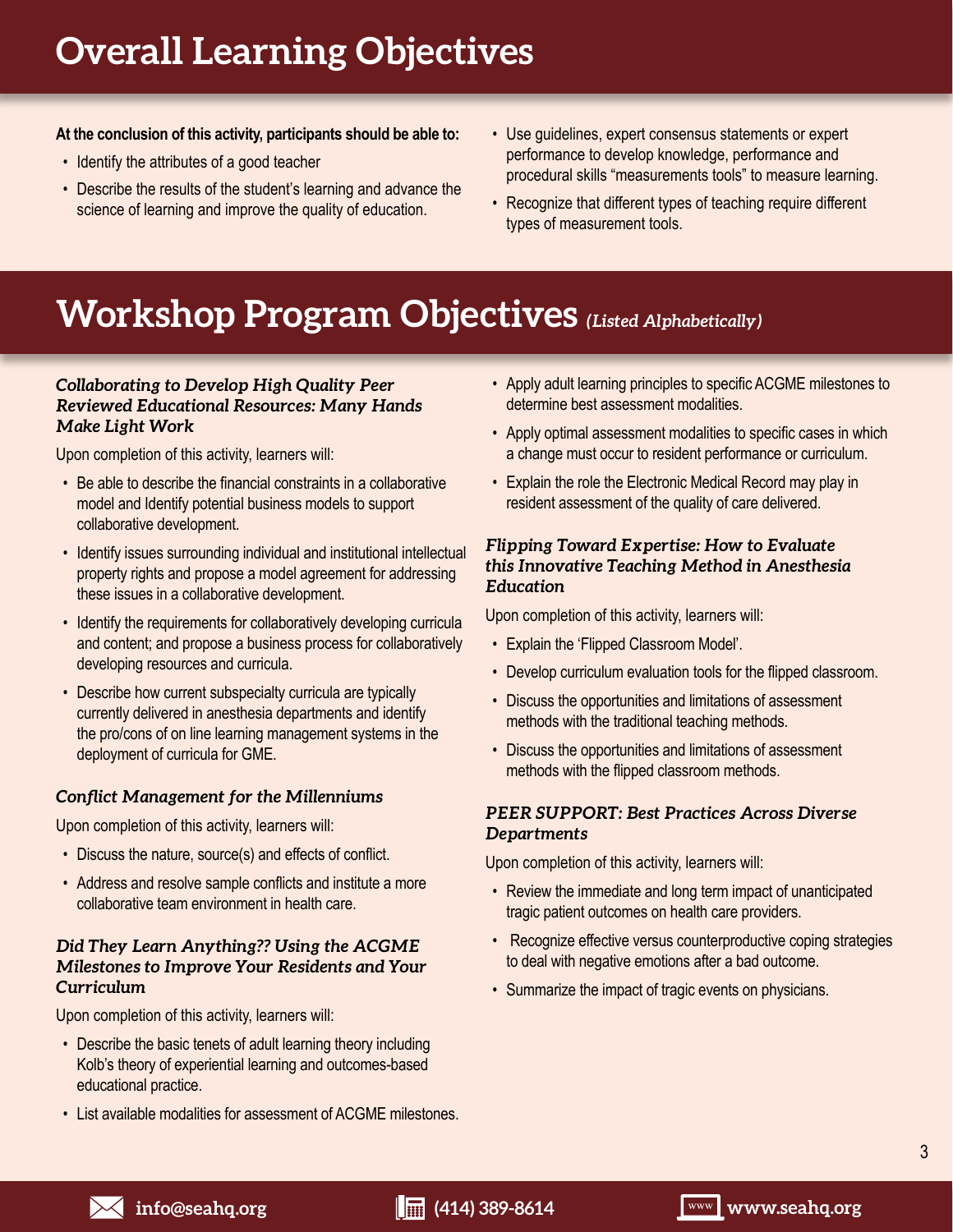# **Overall Learning Objectives**

# **At the conclusion of this activity, participants should be able to:**

- Identify the attributes of a good teacher
- Describe the results of the student's learning and advance the science of learning and improve the quality of education.
- Use guidelines, expert consensus statements or expert performance to develop knowledge, performance and procedural skills "measurements tools" to measure learning.
- Recognize that different types of teaching require different types of measurement tools.

# **Workshop Program Objectives** *(Listed Alphabetically)*

# *Collaborating to Develop High Quality Peer Reviewed Educational Resources: Many Hands Make Light Work*

Upon completion of this activity, learners will:

- Be able to describe the financial constraints in a collaborative model and Identify potential business models to support collaborative development.
- Identify issues surrounding individual and institutional intellectual property rights and propose a model agreement for addressing these issues in a collaborative development.
- Identify the requirements for collaboratively developing curricula and content; and propose a business process for collaboratively developing resources and curricula.
- Describe how current subspecialty curricula are typically currently delivered in anesthesia departments and identify the pro/cons of on line learning management systems in the deployment of curricula for GME.

# *Conflict Management for the Millenniums*

Upon completion of this activity, learners will:

- Discuss the nature, source(s) and effects of conflict.
- Address and resolve sample conflicts and institute a more collaborative team environment in health care.

# *Did They Learn Anything?? Using the ACGME Milestones to Improve Your Residents and Your Curriculum*

Upon completion of this activity, learners will:

- Describe the basic tenets of adult learning theory including Kolb's theory of experiential learning and outcomes-based educational practice.
- List available modalities for assessment of ACGME milestones.
- Apply adult learning principles to specific ACGME milestones to determine best assessment modalities.
- Apply optimal assessment modalities to specific cases in which a change must occur to resident performance or curriculum.
- Explain the role the Electronic Medical Record may play in resident assessment of the quality of care delivered.

# *Flipping Toward Expertise: How to Evaluate this Innovative Teaching Method in Anesthesia Education*

Upon completion of this activity, learners will:

- Explain the 'Flipped Classroom Model'.
- Develop curriculum evaluation tools for the flipped classroom.
- Discuss the opportunities and limitations of assessment methods with the traditional teaching methods.
- Discuss the opportunities and limitations of assessment methods with the flipped classroom methods.

# *PEER SUPPORT: Best Practices Across Diverse Departments*

Upon completion of this activity, learners will:

- Review the immediate and long term impact of unanticipated tragic patient outcomes on health care providers.
- Recognize effective versus counterproductive coping strategies to deal with negative emotions after a bad outcome.
- Summarize the impact of tragic events on physicians.

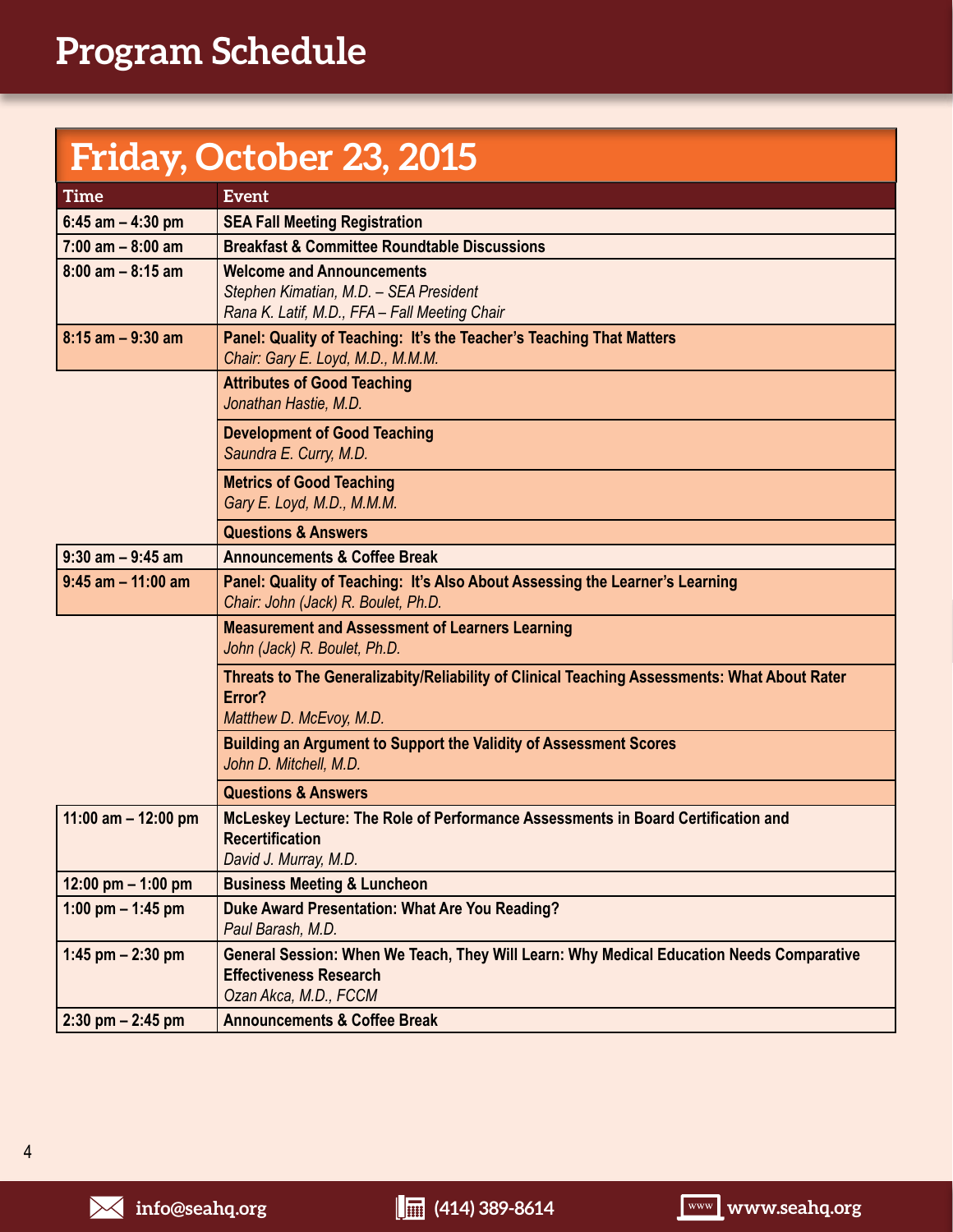# **Friday, October 23, 2015**

| <b>Time</b>           | <b>Event</b>                                                                                                                                       |  |
|-----------------------|----------------------------------------------------------------------------------------------------------------------------------------------------|--|
| $6:45$ am $-4:30$ pm  | <b>SEA Fall Meeting Registration</b>                                                                                                               |  |
| $7:00$ am $-8:00$ am  | <b>Breakfast &amp; Committee Roundtable Discussions</b>                                                                                            |  |
| $8:00$ am $-8:15$ am  | <b>Welcome and Announcements</b><br>Stephen Kimatian, M.D. - SEA President<br>Rana K. Latif, M.D., FFA - Fall Meeting Chair                        |  |
| $8:15$ am $-9:30$ am  | Panel: Quality of Teaching: It's the Teacher's Teaching That Matters<br>Chair: Gary E. Loyd, M.D., M.M.M.                                          |  |
|                       | <b>Attributes of Good Teaching</b><br>Jonathan Hastie, M.D.                                                                                        |  |
|                       | <b>Development of Good Teaching</b><br>Saundra E. Curry, M.D.                                                                                      |  |
|                       | <b>Metrics of Good Teaching</b><br>Gary E. Loyd, M.D., M.M.M.                                                                                      |  |
|                       | <b>Questions &amp; Answers</b>                                                                                                                     |  |
| $9:30$ am $-9:45$ am  | <b>Announcements &amp; Coffee Break</b>                                                                                                            |  |
| $9:45$ am $-11:00$ am | Panel: Quality of Teaching: It's Also About Assessing the Learner's Learning<br>Chair: John (Jack) R. Boulet, Ph.D.                                |  |
|                       | <b>Measurement and Assessment of Learners Learning</b><br>John (Jack) R. Boulet, Ph.D.                                                             |  |
|                       | Threats to The Generalizabity/Reliability of Clinical Teaching Assessments: What About Rater<br>Error?<br>Matthew D. McEvoy, M.D.                  |  |
|                       | <b>Building an Argument to Support the Validity of Assessment Scores</b><br>John D. Mitchell, M.D.                                                 |  |
|                       | <b>Questions &amp; Answers</b>                                                                                                                     |  |
| 11:00 am $-$ 12:00 pm | McLeskey Lecture: The Role of Performance Assessments in Board Certification and<br><b>Recertification</b><br>David J. Murray, M.D.                |  |
| 12:00 pm $-$ 1:00 pm  | <b>Business Meeting &amp; Luncheon</b>                                                                                                             |  |
| 1:00 pm $-$ 1:45 pm   | Duke Award Presentation: What Are You Reading?<br>Paul Barash, M.D.                                                                                |  |
| 1:45 pm $- 2:30$ pm   | General Session: When We Teach, They Will Learn: Why Medical Education Needs Comparative<br><b>Effectiveness Research</b><br>Ozan Akca, M.D., FCCM |  |
| $2:30$ pm $- 2:45$ pm | <b>Announcements &amp; Coffee Break</b>                                                                                                            |  |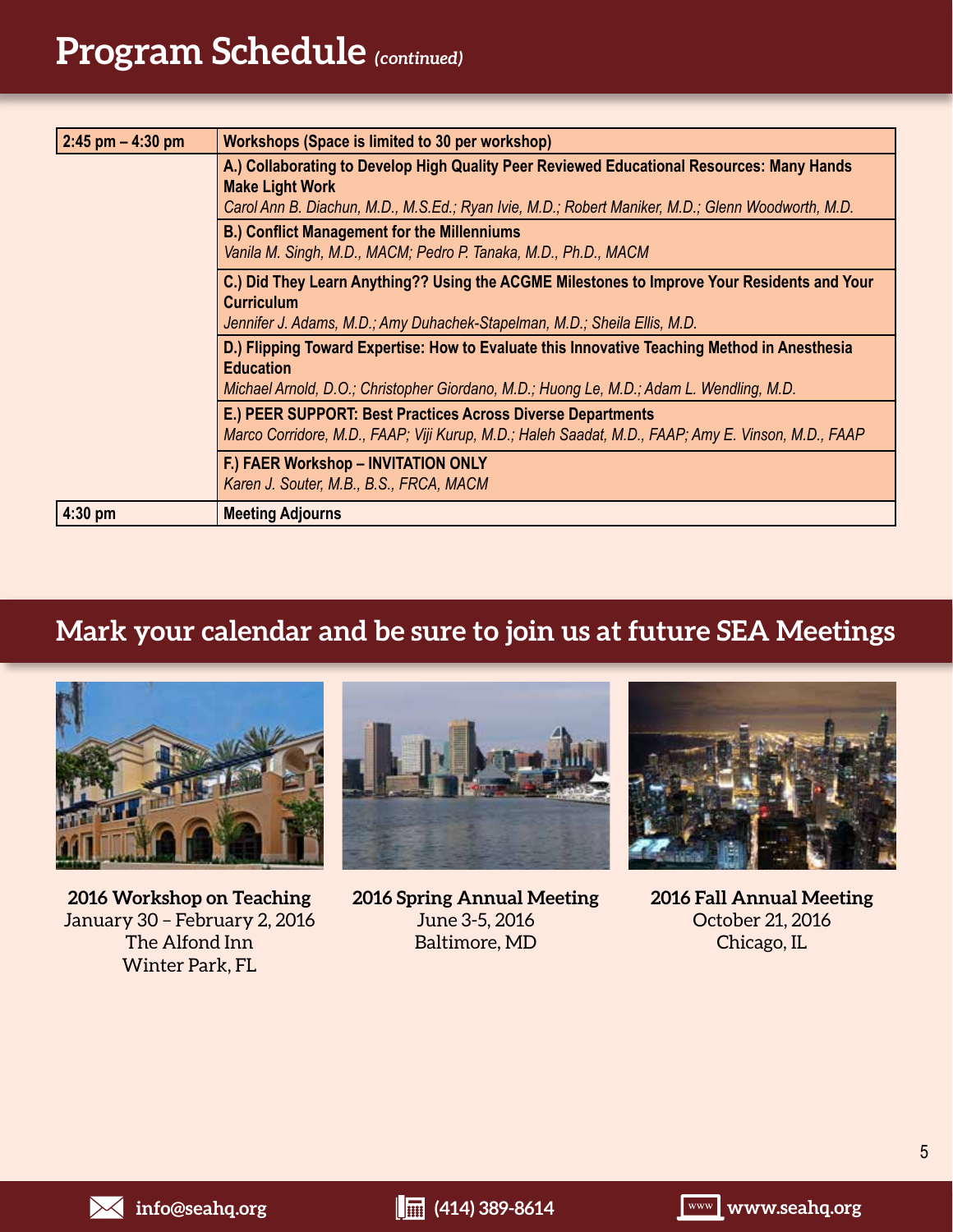# **Program Schedule** *(continued)*

| $2:45$ pm $- 4:30$ pm                                                                                                                                                                                        | <b>Workshops (Space is limited to 30 per workshop)</b>                                                                                                                                                                                                                         |
|--------------------------------------------------------------------------------------------------------------------------------------------------------------------------------------------------------------|--------------------------------------------------------------------------------------------------------------------------------------------------------------------------------------------------------------------------------------------------------------------------------|
|                                                                                                                                                                                                              | A.) Collaborating to Develop High Quality Peer Reviewed Educational Resources: Many Hands<br><b>Make Light Work</b><br>Carol Ann B. Diachun, M.D., M.S.Ed.; Ryan Ivie, M.D.; Robert Maniker, M.D.; Glenn Woodworth, M.D.<br><b>B.) Conflict Management for the Millenniums</b> |
|                                                                                                                                                                                                              | Vanila M. Singh, M.D., MACM; Pedro P. Tanaka, M.D., Ph.D., MACM                                                                                                                                                                                                                |
|                                                                                                                                                                                                              | C.) Did They Learn Anything?? Using the ACGME Milestones to Improve Your Residents and Your<br><b>Curriculum</b><br>Jennifer J. Adams, M.D.; Amy Duhachek-Stapelman, M.D.; Sheila Ellis, M.D.                                                                                  |
| D.) Flipping Toward Expertise: How to Evaluate this Innovative Teaching Method in Anesthesia<br><b>Education</b><br>Michael Arnold, D.O.; Christopher Giordano, M.D.; Huong Le, M.D.; Adam L. Wendling, M.D. |                                                                                                                                                                                                                                                                                |
|                                                                                                                                                                                                              | E.) PEER SUPPORT: Best Practices Across Diverse Departments<br>Marco Corridore, M.D., FAAP; Viji Kurup, M.D.; Haleh Saadat, M.D., FAAP; Amy E. Vinson, M.D., FAAP                                                                                                              |
|                                                                                                                                                                                                              | F.) FAER Workshop - INVITATION ONLY<br>Karen J. Souter, M.B., B.S., FRCA, MACM                                                                                                                                                                                                 |
| $4:30$ pm                                                                                                                                                                                                    | <b>Meeting Adjourns</b>                                                                                                                                                                                                                                                        |

# **Mark your calendar and be sure to join us at future SEA Meetings**



**2016 Workshop on Teaching** January 30 – February 2, 2016 The Alfond Inn Winter Park, FL



**2016 Spring Annual Meeting** June 3-5, 2016 Baltimore, MD



**2016 Fall Annual Meeting** October 21, 2016 Chicago, IL

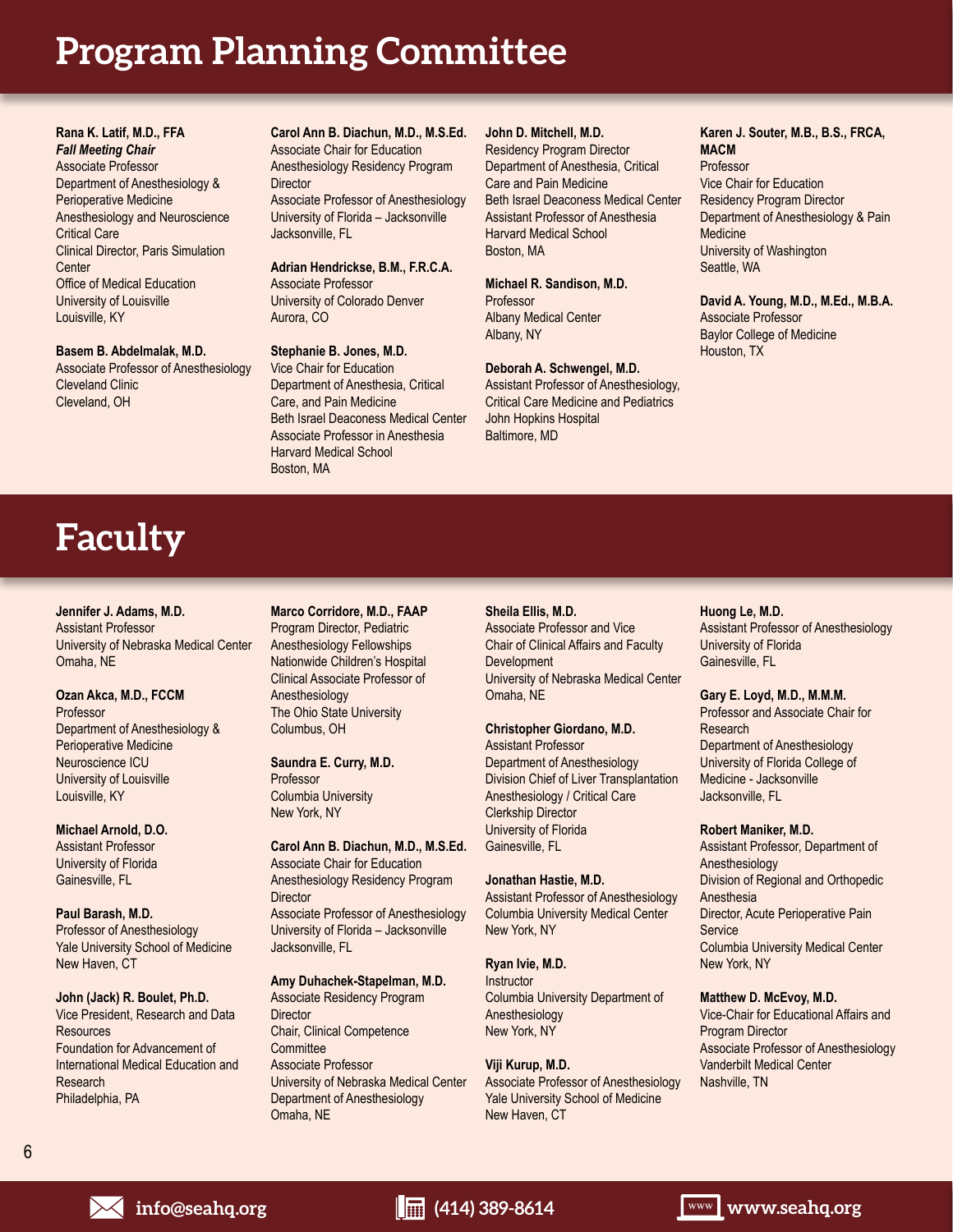# **Program Planning Committee**

**Rana K. Latif, M.D., FFA** *Fall Meeting Chair* Associate Professor Department of Anesthesiology & Perioperative Medicine Anesthesiology and Neuroscience Critical Care Clinical Director, Paris Simulation **Center** Office of Medical Education University of Louisville Louisville, KY

**Basem B. Abdelmalak, M.D.** Associate Professor of Anesthesiology Cleveland Clinic Cleveland, OH

**Carol Ann B. Diachun, M.D., M.S.Ed.** Associate Chair for Education Anesthesiology Residency Program **Director** Associate Professor of Anesthesiology

University of Florida – Jacksonville Jacksonville, FL

**Adrian Hendrickse, B.M., F.R.C.A.** Associate Professor University of Colorado Denver Aurora, CO

#### **Stephanie B. Jones, M.D.** Vice Chair for Education Department of Anesthesia, Critical Care, and Pain Medicine Beth Israel Deaconess Medical Center Associate Professor in Anesthesia Harvard Medical School Boston, MA

### **John D. Mitchell, M.D.**

Residency Program Director Department of Anesthesia, Critical Care and Pain Medicine Beth Israel Deaconess Medical Center Assistant Professor of Anesthesia Harvard Medical School Boston, MA

**Michael R. Sandison, M.D.** Professor Albany Medical Center Albany, NY

**Deborah A. Schwengel, M.D.**

Assistant Professor of Anesthesiology, Critical Care Medicine and Pediatrics John Hopkins Hospital Baltimore, MD

#### **Karen J. Souter, M.B., B.S., FRCA, MACM** Professor

Vice Chair for Education Residency Program Director Department of Anesthesiology & Pain **Medicine** University of Washington Seattle, WA

#### **David A. Young, M.D., M.Ed., M.B.A.**

Associate Professor Baylor College of Medicine Houston, TX

# **Faculty**

**Jennifer J. Adams, M.D.** Assistant Professor University of Nebraska Medical Center Omaha, NE

#### **Ozan Akca, M.D., FCCM**

Professor Department of Anesthesiology & Perioperative Medicine Neuroscience ICU University of Louisville Louisville, KY

**Michael Arnold, D.O.** Assistant Professor University of Florida Gainesville, FL

#### **Paul Barash, M.D.**

Professor of Anesthesiology Yale University School of Medicine New Haven, CT

**John (Jack) R. Boulet, Ph.D.** Vice President, Research and Data Resources Foundation for Advancement of International Medical Education and Research Philadelphia, PA

**Marco Corridore, M.D., FAAP** Program Director, Pediatric Anesthesiology Fellowships Nationwide Children's Hospital Clinical Associate Professor of Anesthesiology The Ohio State University Columbus, OH

**Saundra E. Curry, M.D.** Professor Columbia University New York, NY

**Carol Ann B. Diachun, M.D., M.S.Ed.** Associate Chair for Education Anesthesiology Residency Program **Director** Associate Professor of Anesthesiology University of Florida – Jacksonville Jacksonville, FL

# **Amy Duhachek-Stapelman, M.D.**

Associate Residency Program **Director** Chair, Clinical Competence **Committee** Associate Professor University of Nebraska Medical Center Department of Anesthesiology Omaha, NE

### **Sheila Ellis, M.D.**

Associate Professor and Vice Chair of Clinical Affairs and Faculty **Development** University of Nebraska Medical Center Omaha, NE

### **Christopher Giordano, M.D.**

Assistant Professor Department of Anesthesiology Division Chief of Liver Transplantation Anesthesiology / Critical Care Clerkship Director University of Florida Gainesville, FL

### **Jonathan Hastie, M.D.**

Assistant Professor of Anesthesiology Columbia University Medical Center New York, NY

#### **Ryan Ivie, M.D.**

**Instructor** Columbia University Department of Anesthesiology New York, NY

# **Viji Kurup, M.D.**

Associate Professor of Anesthesiology Yale University School of Medicine New Haven, CT

### **Huong Le, M.D.**

Assistant Professor of Anesthesiology University of Florida Gainesville, FL

**Gary E. Loyd, M.D., M.M.M.** Professor and Associate Chair for Research Department of Anesthesiology University of Florida College of Medicine - Jacksonville Jacksonville, FL

#### **Robert Maniker, M.D.**

Assistant Professor, Department of Anesthesiology Division of Regional and Orthopedic Anesthesia Director, Acute Perioperative Pain **Service** Columbia University Medical Center New York, NY

### **Matthew D. McEvoy, M.D.**

Vice-Chair for Educational Affairs and Program Director Associate Professor of Anesthesiology Vanderbilt Medical Center Nashville, TN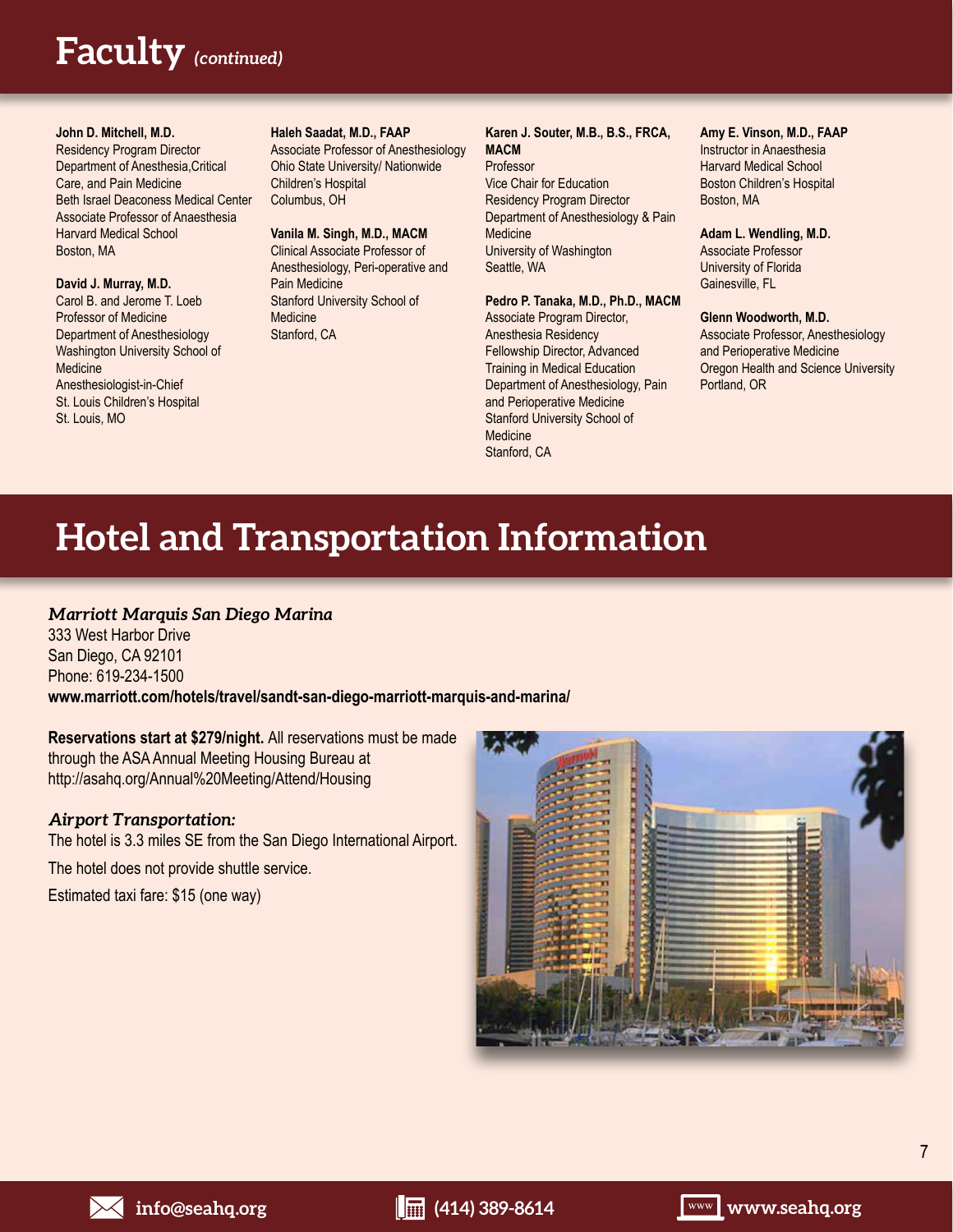# **Faculty** *(continued)*

#### **John D. Mitchell, M.D.**

Residency Program Director Department of Anesthesia,Critical Care, and Pain Medicine Beth Israel Deaconess Medical Center Associate Professor of Anaesthesia Harvard Medical School Boston, MA

#### **David J. Murray, M.D.**

Carol B. and Jerome T. Loeb Professor of Medicine Department of Anesthesiology Washington University School of **Medicine** Anesthesiologist-in-Chief St. Louis Children's Hospital St. Louis, MO

#### **Haleh Saadat, M.D., FAAP**

Associate Professor of Anesthesiology Ohio State University/ Nationwide Children's Hospital Columbus, OH

#### **Vanila M. Singh, M.D., MACM**

Clinical Associate Professor of Anesthesiology, Peri-operative and Pain Medicine Stanford University School of Medicine Stanford, CA

#### **Karen J. Souter, M.B., B.S., FRCA, MACM** Professor

Vice Chair for Education Residency Program Director Department of Anesthesiology & Pain **Medicine** University of Washington Seattle, WA

#### **Pedro P. Tanaka, M.D., Ph.D., MACM**

Associate Program Director, Anesthesia Residency Fellowship Director, Advanced Training in Medical Education Department of Anesthesiology, Pain and Perioperative Medicine Stanford University School of **Medicine** Stanford, CA

#### **Amy E. Vinson, M.D., FAAP**

Instructor in Anaesthesia Harvard Medical School Boston Children's Hospital Boston, MA

#### **Adam L. Wendling, M.D.** Associate Professor

University of Florida Gainesville, FL

#### **Glenn Woodworth, M.D.**

Associate Professor, Anesthesiology and Perioperative Medicine Oregon Health and Science University Portland, OR

# **Hotel and Transportation Information**

# *Marriott Marquis San Diego Marina*

333 West Harbor Drive San Diego, CA 92101 Phone: 619-234-1500 **www.marriott.com/hotels/travel/sandt-san-diego-marriott-marquis-and-marina/**

**Reservations start at \$279/night.** All reservations must be made through the ASA Annual Meeting Housing Bureau at http://asahq.org/Annual%20Meeting/Attend/Housing

## *Airport Transportation:*

The hotel is 3.3 miles SE from the San Diego International Airport.

The hotel does not provide shuttle service.

Estimated taxi fare: \$15 (one way)